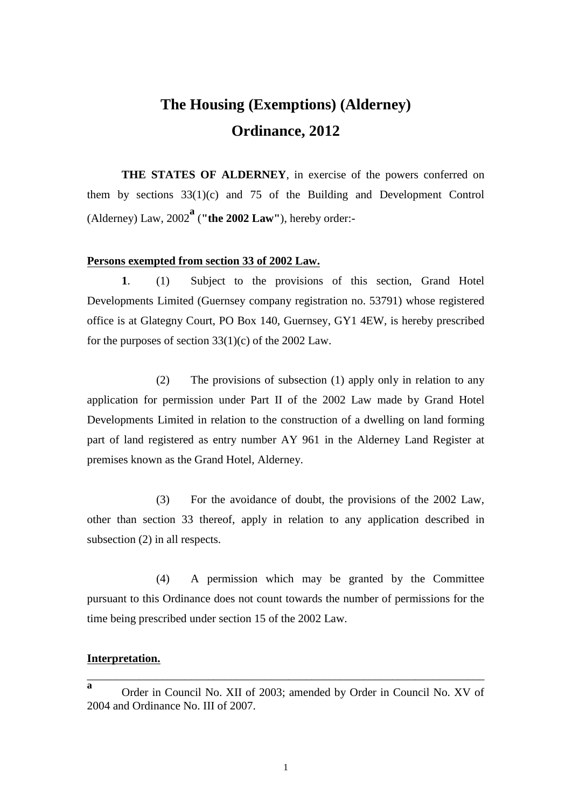## **The Housing (Exemptions) (Alderney) Ordinance, 2012**

**THE STATES OF ALDERNEY**, in exercise of the powers conferred on them by sections 33(1)(c) and 75 of the Building and Development Control (Alderney) Law, 2002**<sup>a</sup>** (**"the 2002 Law"**), hereby order:-

## **Persons exempted from section 33 of 2002 Law.**

**1**. (1) Subject to the provisions of this section, Grand Hotel Developments Limited (Guernsey company registration no. 53791) whose registered office is at Glategny Court, PO Box 140, Guernsey, GY1 4EW, is hereby prescribed for the purposes of section  $33(1)(c)$  of the 2002 Law.

(2) The provisions of subsection (1) apply only in relation to any application for permission under Part II of the 2002 Law made by Grand Hotel Developments Limited in relation to the construction of a dwelling on land forming part of land registered as entry number AY 961 in the Alderney Land Register at premises known as the Grand Hotel, Alderney.

(3) For the avoidance of doubt, the provisions of the 2002 Law, other than section 33 thereof, apply in relation to any application described in subsection (2) in all respects.

(4) A permission which may be granted by the Committee pursuant to this Ordinance does not count towards the number of permissions for the time being prescribed under section 15 of the 2002 Law.

## **Interpretation.**

\_\_\_\_\_\_\_\_\_\_\_\_\_\_\_\_\_\_\_\_\_\_\_\_\_\_\_\_\_\_\_\_\_\_\_\_\_\_\_\_\_\_\_\_\_\_\_\_\_\_\_\_\_\_\_\_\_\_\_\_\_\_\_\_\_\_\_\_\_

**a** Order in Council No. XII of 2003; amended by Order in Council No. XV of 2004 and Ordinance No. III of 2007.